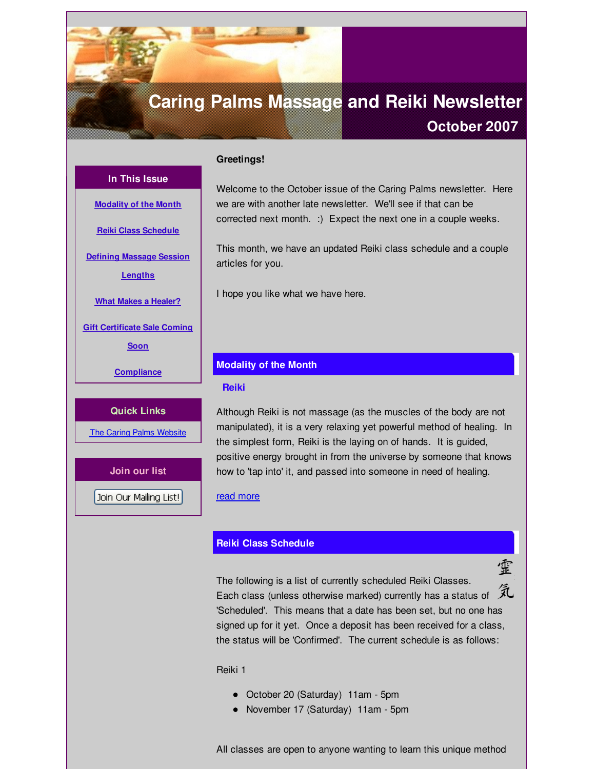# <span id="page-0-0"></span>**Caring Palms Massage and Reiki Newsletter**

# **October 2007**

# **In This Issue**

**[Modality](#page-0-0) of the Month**

**Reiki Class [Schedule](#page-0-0)**

**Defining [Massage](#page-0-0) Session**

**Lengths**

**What Makes a [Healer?](#page-0-0)**

**Gift [Certificate](#page-0-0) Sale Coming**

**Soon**

**[Compliance](#page-0-0)**

#### **Quick Links**

The Caring Palms [Website](http://r20.rs6.net/tn.jsp?f=001y1ltD-1ldJDzDiVwNHG-Es5HooYJqU2RTJRjSvwn_LiyjeQXwVNZuB126ykjyBGGvkmbwLmKAt-dBS9Sfs6eXX0PoLuMTJyQ6fWR8VH-mIto9F9spreyR7E5-r8s1R-Fltnr4W6anoswXFj_Yx3XzzplxpuQgZ-G7sj6hEnaIkdlhwNltHN04g==&c=&ch=)

**Join our list**

Join Our Mailing List!

Welcome to the October issue of the Caring Palms newsletter. Here we are with another late newsletter. We'll see if that can be corrected next month. :) Expect the next one in a couple weeks.

This month, we have an updated Reiki class schedule and a couple articles for you.

I hope you like what we have here.

### **Modality of the Month**

#### **Reiki**

**Greetings!**

Although Reiki is not massage (as the muscles of the body are not manipulated), it is a very relaxing yet powerful method of healing. In the simplest form, Reiki is the laying on of hands. It is guided, positive energy brought in from the universe by someone that knows how to 'tap into' it, and passed into someone in need of healing.

#### read [more](http://r20.rs6.net/tn.jsp?f=001y1ltD-1ldJDzDiVwNHG-Es5HooYJqU2RTJRjSvwn_LiyjeQXwVNZuLAo5iq67P0PVwagCj986Z9zUFKMz6w_lp9GRqiLr9jA9toxPOCnNwiRbCNYSGp057odN5S2-pRxusgw3AJAP4esihn2X4v_iNDR0F5QaFT8mGv3_MBqY4Lujq5YnqEAvcOoAd_98iBmGbPJb10i0Ao=&c=&ch=)

# **Reiki Class Schedule**

霊 The following is a list of currently scheduled Reiki Classes. Each class (unless otherwise marked) currently has a status of  $\hat{\mathcal{K}}$ 'Scheduled'. This means that a date has been set, but no one has signed up for it yet. Once a deposit has been received for a class, the status will be 'Confirmed'. The current schedule is as follows:

# Reiki 1

- October 20 (Saturday) 11am 5pm
- November 17 (Saturday) 11am 5pm

All classes are open to anyone wanting to learn this unique method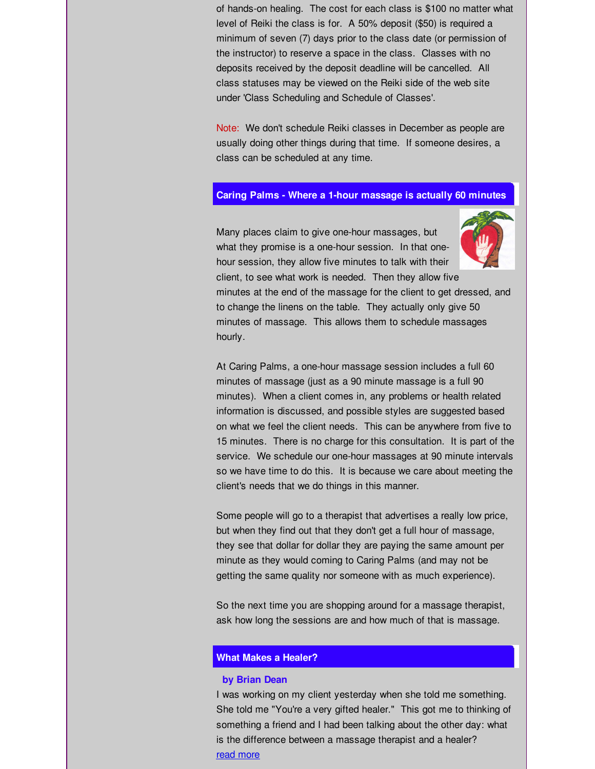of hands-on healing. The cost for each class is \$100 no matter what level of Reiki the class is for. A 50% deposit (\$50) is required a minimum of seven (7) days prior to the class date (or permission of the instructor) to reserve a space in the class. Classes with no deposits received by the deposit deadline will be cancelled. All class statuses may be viewed on the Reiki side of the web site under 'Class Scheduling and Schedule of Classes'.

Note: We don't schedule Reiki classes in December as people are usually doing other things during that time. If someone desires, a class can be scheduled at any time.

# **Caring Palms - Where a 1-hour massage is actually 60 minutes**



Many places claim to give one-hour massages, but what they promise is a one-hour session. In that onehour session, they allow five minutes to talk with their client, to see what work is needed. Then they allow five

minutes at the end of the massage for the client to get dressed, and to change the linens on the table. They actually only give 50 minutes of massage. This allows them to schedule massages hourly.

At Caring Palms, a one-hour massage session includes a full 60 minutes of massage (just as a 90 minute massage is a full 90 minutes). When a client comes in, any problems or health related information is discussed, and possible styles are suggested based on what we feel the client needs. This can be anywhere from five to 15 minutes. There is no charge for this consultation. It is part of the service. We schedule our one-hour massages at 90 minute intervals so we have time to do this. It is because we care about meeting the client's needs that we do things in this manner.

Some people will go to a therapist that advertises a really low price, but when they find out that they don't get a full hour of massage, they see that dollar for dollar they are paying the same amount per minute as they would coming to Caring Palms (and may not be getting the same quality nor someone with as much experience).

So the next time you are shopping around for a massage therapist, ask how long the sessions are and how much of that is massage.

#### **What Makes a Healer?**

#### **by Brian Dean**

I was working on my client yesterday when she told me something. She told me "You're a very gifted healer." This got me to thinking of something a friend and I had been talking about the other day: what is the difference between a massage therapist and a healer? read [more](http://r20.rs6.net/tn.jsp?f=001y1ltD-1ldJDzDiVwNHG-Es5HooYJqU2RTJRjSvwn_LiyjeQXwVNZuLAo5iq67P0PEkLpZP_dmmFAN1HbCzDXMFFhft0z3CbuM5dYXmk4KNrp_neMql3o6I8Rqzx9cIl15o7y_cjA08mR-vd1XdEBgSwuX7eeiW1YYOJdPjFjuIPqjIHaauCWHpgupmF0EklLAl5-HvwKGSsEzy_c-aq8Cg==&c=&ch=)